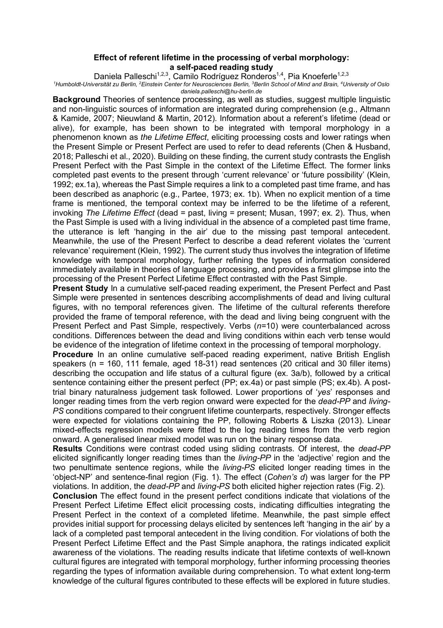## **Effect of referent lifetime in the processing of verbal morphology: a self-paced reading study**

Daniela Palleschi<sup>1,2,3</sup>, Camilo Rodríguez Ronderos<sup>1,4</sup>, Pia Knoeferle<sup>1,2,3</sup>

*1 Humboldt-Universität zu Berlin, 2 Einstein Center for Neurosciences Berlin, <sup>3</sup> Berlin School of Mind and Brain, <sup>4</sup> University of Oslo daniela.palleschi@hu-berlin.de*

**Background** Theories of sentence processing, as well as studies, suggest multiple linguistic and non-linguistic sources of information are integrated during comprehension (e.g., Altmann & Kamide, 2007; Nieuwland & Martin, 2012). Information about a referent's lifetime (dead or alive), for example, has been shown to be integrated with temporal morphology in a phenomenon known as *the Lifetime Effect*, eliciting processing costs and lower ratings when the Present Simple or Present Perfect are used to refer to dead referents (Chen & Husband, 2018; Palleschi et al., 2020). Building on these finding, the current study contrasts the English Present Perfect with the Past Simple in the context of the Lifetime Effect. The former links completed past events to the present through 'current relevance' or 'future possibility' (Klein, 1992; ex.1a), whereas the Past Simple requires a link to a completed past time frame, and has been described as anaphoric (e.g., Partee, 1973; ex. 1b). When no explicit mention of a time frame is mentioned, the temporal context may be inferred to be the lifetime of a referent, invoking *The Lifetime Effect* (dead = past, living = present; Musan, 1997; ex. 2). Thus, when the Past Simple is used with a living individual in the absence of a completed past time frame, the utterance is left 'hanging in the air' due to the missing past temporal antecedent. Meanwhile, the use of the Present Perfect to describe a dead referent violates the 'current relevance' requirement (Klein, 1992). The current study thus involves the integration of lifetime knowledge with temporal morphology, further refining the types of information considered immediately available in theories of language processing, and provides a first glimpse into the processing of the Present Perfect Lifetime Effect contrasted with the Past Simple.

**Present Study** In a cumulative self-paced reading experiment, the Present Perfect and Past Simple were presented in sentences describing accomplishments of dead and living cultural figures, with no temporal references given. The lifetime of the cultural referents therefore provided the frame of temporal reference, with the dead and living being congruent with the Present Perfect and Past Simple, respectively. Verbs (*n*=10) were counterbalanced across conditions. Differences between the dead and living conditions within each verb tense would be evidence of the integration of lifetime context in the processing of temporal morphology.

**Procedure** In an online cumulative self-paced reading experiment, native British English speakers ( $n = 160$ , 111 female, aged 18-31) read sentences (20 critical and 30 filler items) describing the occupation and life status of a cultural figure (ex. 3a/b), followed by a critical sentence containing either the present perfect (PP; ex.4a) or past simple (PS; ex.4b). A posttrial binary naturalness judgement task followed. Lower proportions of '*yes*' responses and longer reading times from the verb region onward were expected for the *dead-PP* and *living-PS* conditions compared to their congruent lifetime counterparts, respectively. Stronger effects were expected for violations containing the PP, following Roberts & Liszka (2013). Linear mixed-effects regression models were fitted to the log reading times from the verb region onward. A generalised linear mixed model was run on the binary response data.

**Results** Conditions were contrast coded using sliding contrasts. Of interest, the *dead-PP* elicited significantly longer reading times than the *living-PP* in the 'adjective' region and the two penultimate sentence regions, while the *living-PS* elicited longer reading times in the 'object-NP' and sentence-final region (Fig. 1). The effect (*Cohen's d*) was larger for the PP violations. In addition, the *dead-PP* and *living-PS* both elicited higher rejection rates (Fig. 2).

**Conclusion** The effect found in the present perfect conditions indicate that violations of the Present Perfect Lifetime Effect elicit processing costs, indicating difficulties integrating the Present Perfect in the context of a completed lifetime. Meanwhile, the past simple effect provides initial support for processing delays elicited by sentences left 'hanging in the air' by a lack of a completed past temporal antecedent in the living condition. For violations of both the Present Perfect Lifetime Effect and the Past Simple anaphora, the ratings indicated explicit awareness of the violations. The reading results indicate that lifetime contexts of well-known cultural figures are integrated with temporal morphology, further informing processing theories regarding the types of information available during comprehension. To what extent long-term knowledge of the cultural figures contributed to these effects will be explored in future studies.